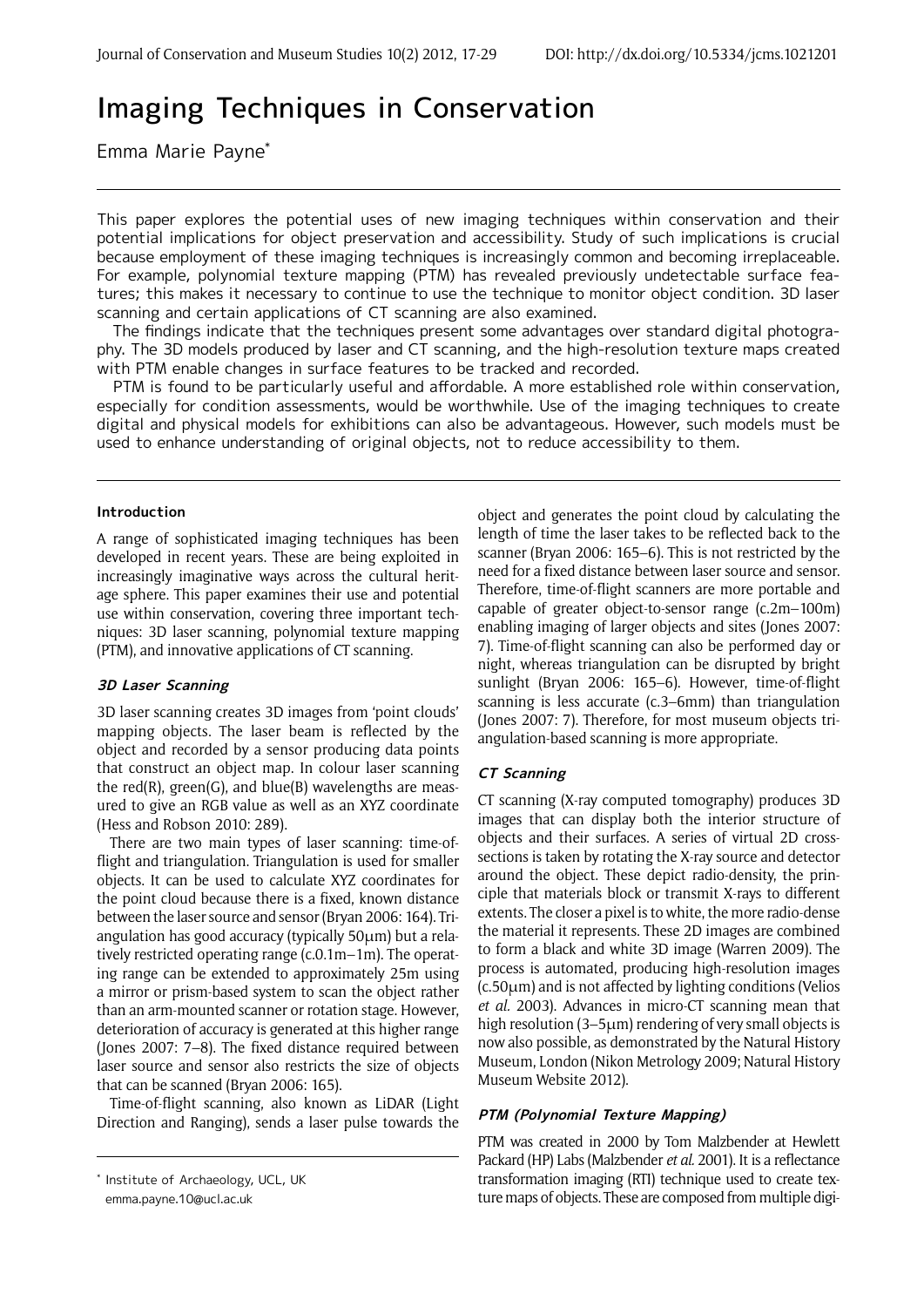# Imaging Techniques in Conservation

Emma Marie Payne\*

This paper explores the potential uses of new imaging techniques within conservation and their potential implications for object preservation and accessibility. Study of such implications is crucial because employment of these imaging techniques is increasingly common and becoming irreplaceable. For example, polynomial texture mapping (PTM) has revealed previously undetectable surface features; this makes it necessary to continue to use the technique to monitor object condition. 3D laser scanning and certain applications of CT scanning are also examined.

 The findings indicate that the techniques present some advantages over standard digital photography. The 3D models produced by laser and CT scanning, and the high-resolution texture maps created with PTM enable changes in surface features to be tracked and recorded.

 PTM is found to be particularly useful and affordable. A more established role within conservation, especially for condition assessments, would be worthwhile. Use of the imaging techniques to create digital and physical models for exhibitions can also be advantageous. However, such models must be used to enhance understanding of original objects, not to reduce accessibility to them.

## **Introduction**

A range of sophisticated imaging techniques has been developed in recent years. These are being exploited in increasingly imaginative ways across the cultural heritage sphere. This paper examines their use and potential use within conservation, covering three important techniques: 3D laser scanning, polynomial texture mapping (PTM), and innovative applications of CT scanning.

## **3D Laser Scanning**

3D laser scanning creates 3D images from 'point clouds' mapping objects. The laser beam is reflected by the object and recorded by a sensor producing data points that construct an object map. In colour laser scanning the  $red(R)$ , green(G), and  $blue(B)$  wavelengths are measured to give an RGB value as well as an XYZ coordinate (Hess and Robson 2010: 289).

There are two main types of laser scanning: time-offlight and triangulation. Triangulation is used for smaller objects. It can be used to calculate XYZ coordinates for the point cloud because there is a fixed, known distance between the laser source and sensor (Bryan 2006: 164). Triangulation has good accuracy (typically 50μm) but a relatively restricted operating range (c.0.1m–1m). The operating range can be extended to approximately 25m using a mirror or prism-based system to scan the object rather than an arm-mounted scanner or rotation stage. However, deterioration of accuracy is generated at this higher range (Jones 2007: 7–8). The fixed distance required between laser source and sensor also restricts the size of objects that can be scanned (Bryan 2006: 165).

Time-of-flight scanning, also known as LiDAR (Light Direction and Ranging), sends a laser pulse towards the

emma.payne.10@ucl.ac.uk

object and generates the point cloud by calculating the length of time the laser takes to be reflected back to the scanner (Bryan 2006: 165–6). This is not restricted by the need for a fixed distance between laser source and sensor. Therefore, time-of-flight scanners are more portable and capable of greater object-to-sensor range (c.2m–100m) enabling imaging of larger objects and sites (Jones 2007: 7). Time-of-flight scanning can also be performed day or night, whereas triangulation can be disrupted by bright sunlight (Bryan 2006: 165–6). However, time-of-flight scanning is less accurate (c.3–6mm) than triangulation (Jones 2007: 7). Therefore, for most museum objects triangulation-based scanning is more appropriate.

## **CT Scanning**

CT scanning (X-ray computed tomography) produces 3D images that can display both the interior structure of objects and their surfaces. A series of virtual 2D crosssections is taken by rotating the X-ray source and detector around the object. These depict radio-density, the principle that materials block or transmit X-rays to different extents. The closer a pixel is to white, the more radio-dense the material it represents. These 2D images are combined to form a black and white 3D image (Warren 2009). The process is automated, producing high-resolution images (c.50μm) and is not affected by lighting conditions (Velios *et al.* 2003). Advances in micro-CT scanning mean that high resolution (3–5μm) rendering of very small objects is now also possible, as demonstrated by the Natural History Museum, London (Nikon Metrology 2009; Natural History Museum Website 2012).

## **PTM (Polynomial Texture Mapping)**

PTM was created in 2000 by Tom Malzbender at Hewlett Packard (HP) Labs (Malzbender *et al.* 2001). It is a reflectance transformation imaging (RTI) technique used to create texture maps of objects. These are composed from multiple digi-

<sup>\*</sup> Institute of Archaeology, UCL, UK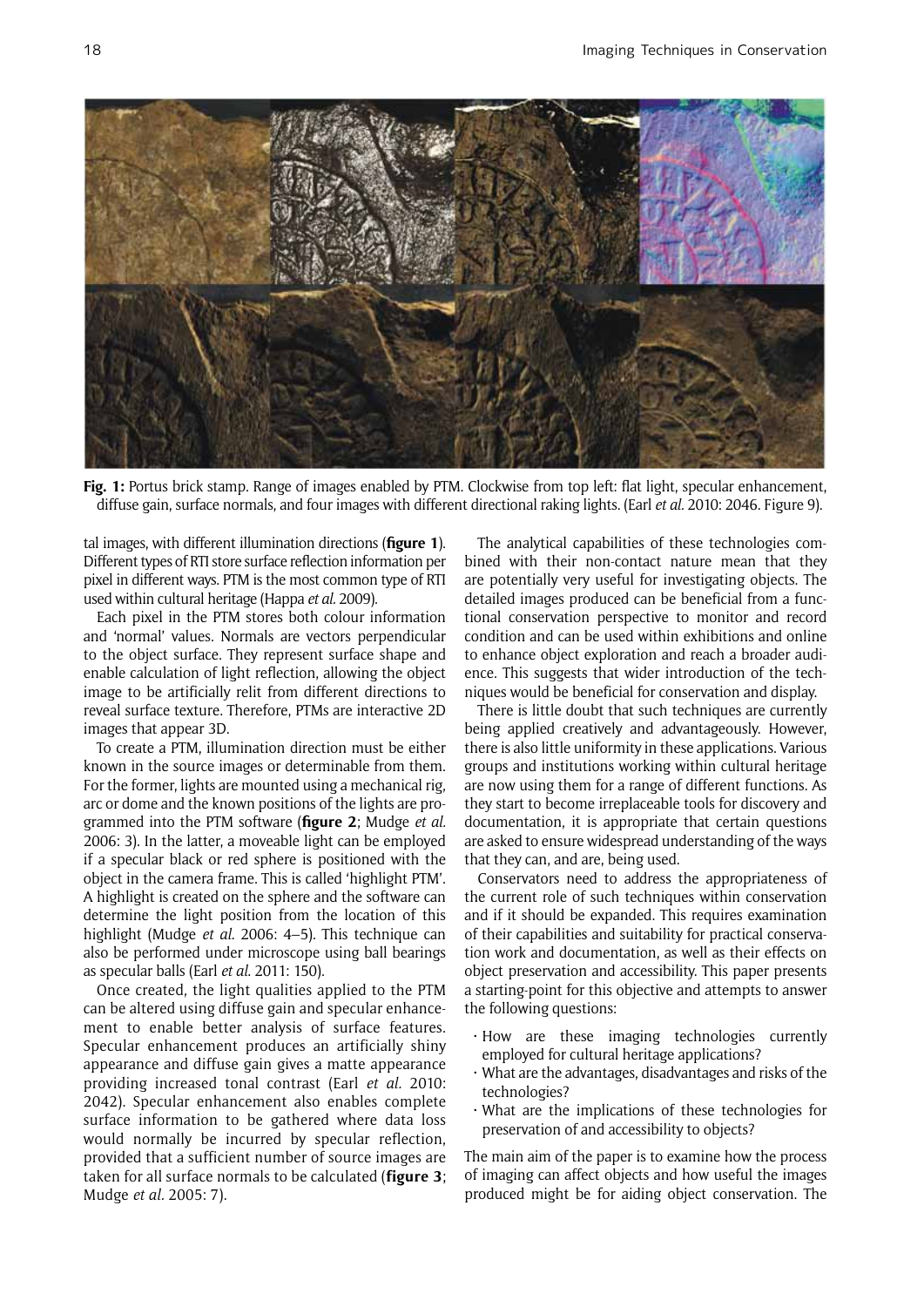

**Fig. 1:** Portus brick stamp. Range of images enabled by PTM. Clockwise from top left: flat light, specular enhancement, diffuse gain, surface normals, and four images with different directional raking lights. (Earl *et al.* 2010: 2046. Figure 9).

tal images, with different illumination directions (**figure 1**). Different types of RTI store surface reflection information per pixel in different ways. PTM is the most common type of RTI used within cultural heritage (Happa *et al.* 2009).

Each pixel in the PTM stores both colour information and 'normal' values. Normals are vectors perpendicular to the object surface. They represent surface shape and enable calculation of light reflection, allowing the object image to be artificially relit from different directions to reveal surface texture. Therefore, PTMs are interactive 2D images that appear 3D.

To create a PTM, illumination direction must be either known in the source images or determinable from them. For the former, lights are mounted using a mechanical rig, arc or dome and the known positions of the lights are programmed into the PTM software (**figure 2**; Mudge *et al.* 2006: 3). In the latter, a moveable light can be employed if a specular black or red sphere is positioned with the object in the camera frame. This is called 'highlight PTM'. A highlight is created on the sphere and the software can determine the light position from the location of this highlight (Mudge *et al.* 2006: 4–5). This technique can also be performed under microscope using ball bearings as specular balls (Earl *et al*. 2011: 150).

Once created, the light qualities applied to the PTM can be altered using diffuse gain and specular enhancement to enable better analysis of surface features. Specular enhancement produces an artificially shiny appearance and diffuse gain gives a matte appearance providing increased tonal contrast (Earl *et al.* 2010: 2042). Specular enhancement also enables complete surface information to be gathered where data loss would normally be incurred by specular reflection, provided that a sufficient number of source images are taken for all surface normals to be calculated (**figure 3**; Mudge *et al.* 2005: 7).

The analytical capabilities of these technologies combined with their non-contact nature mean that they are potentially very useful for investigating objects. The detailed images produced can be beneficial from a functional conservation perspective to monitor and record condition and can be used within exhibitions and online to enhance object exploration and reach a broader audience. This suggests that wider introduction of the techniques would be beneficial for conservation and display.

There is little doubt that such techniques are currently being applied creatively and advantageously. However, there is also little uniformity in these applications. Various groups and institutions working within cultural heritage are now using them for a range of different functions. As they start to become irreplaceable tools for discovery and documentation, it is appropriate that certain questions are asked to ensure widespread understanding of the ways that they can, and are, being used.

Conservators need to address the appropriateness of the current role of such techniques within conservation and if it should be expanded. This requires examination of their capabilities and suitability for practical conservation work and documentation, as well as their effects on object preservation and accessibility. This paper presents a starting-point for this objective and attempts to answer the following questions:

- • How are these imaging technologies currently employed for cultural heritage applications?
- • What are the advantages, disadvantages and risks of the technologies?
- • What are the implications of these technologies for preservation of and accessibility to objects?

The main aim of the paper is to examine how the process of imaging can affect objects and how useful the images produced might be for aiding object conservation. The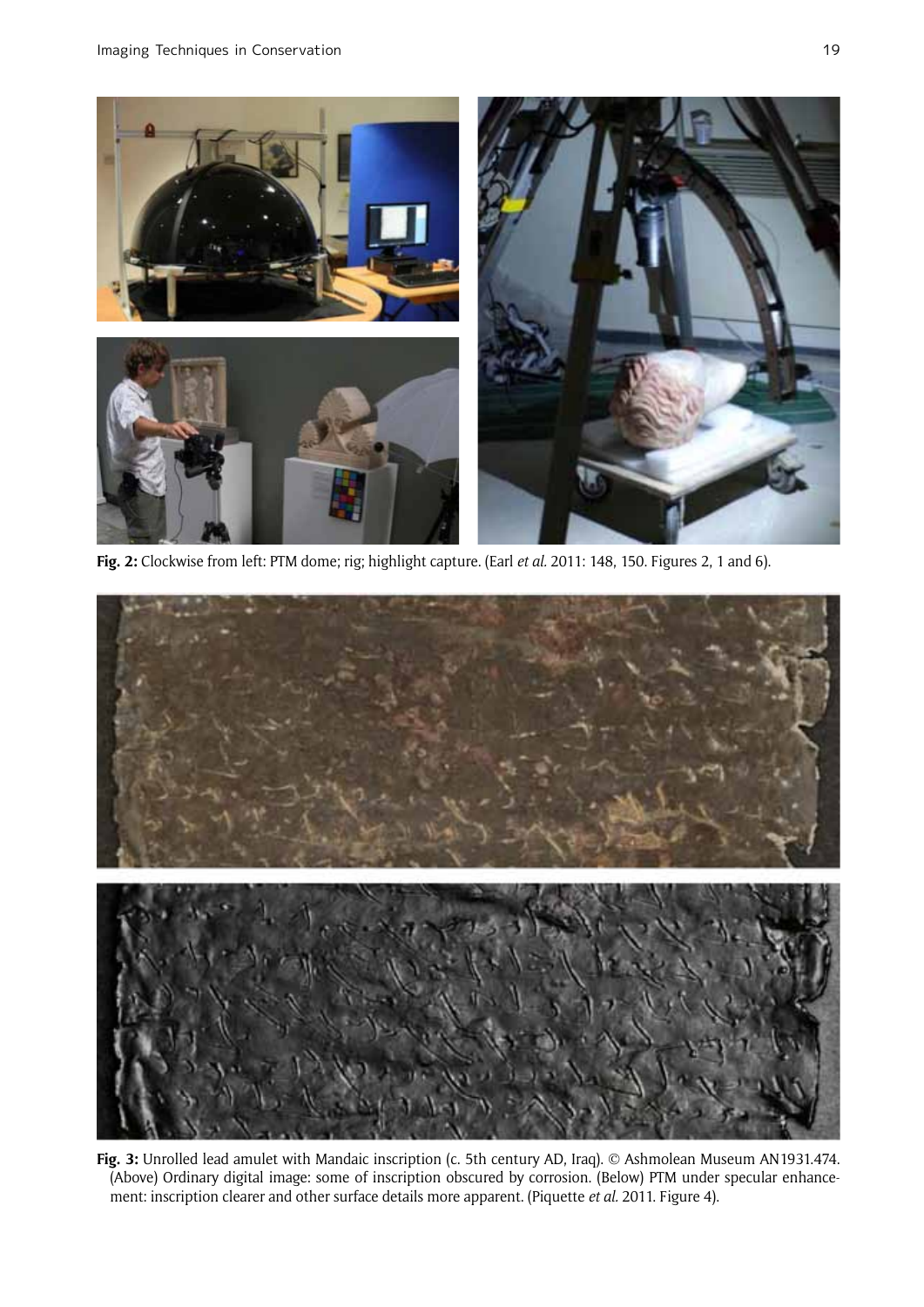

**Fig. 2:** Clockwise from left: PTM dome; rig; highlight capture. (Earl *et al.* 2011: 148, 150. Figures 2, 1 and 6).



**Fig. 3:** Unrolled lead amulet with Mandaic inscription (c. 5th century AD, Iraq). © Ashmolean Museum AN1931.474. (Above) Ordinary digital image: some of inscription obscured by corrosion. (Below) PTM under specular enhancement: inscription clearer and other surface details more apparent. (Piquette *et al.* 2011. Figure 4).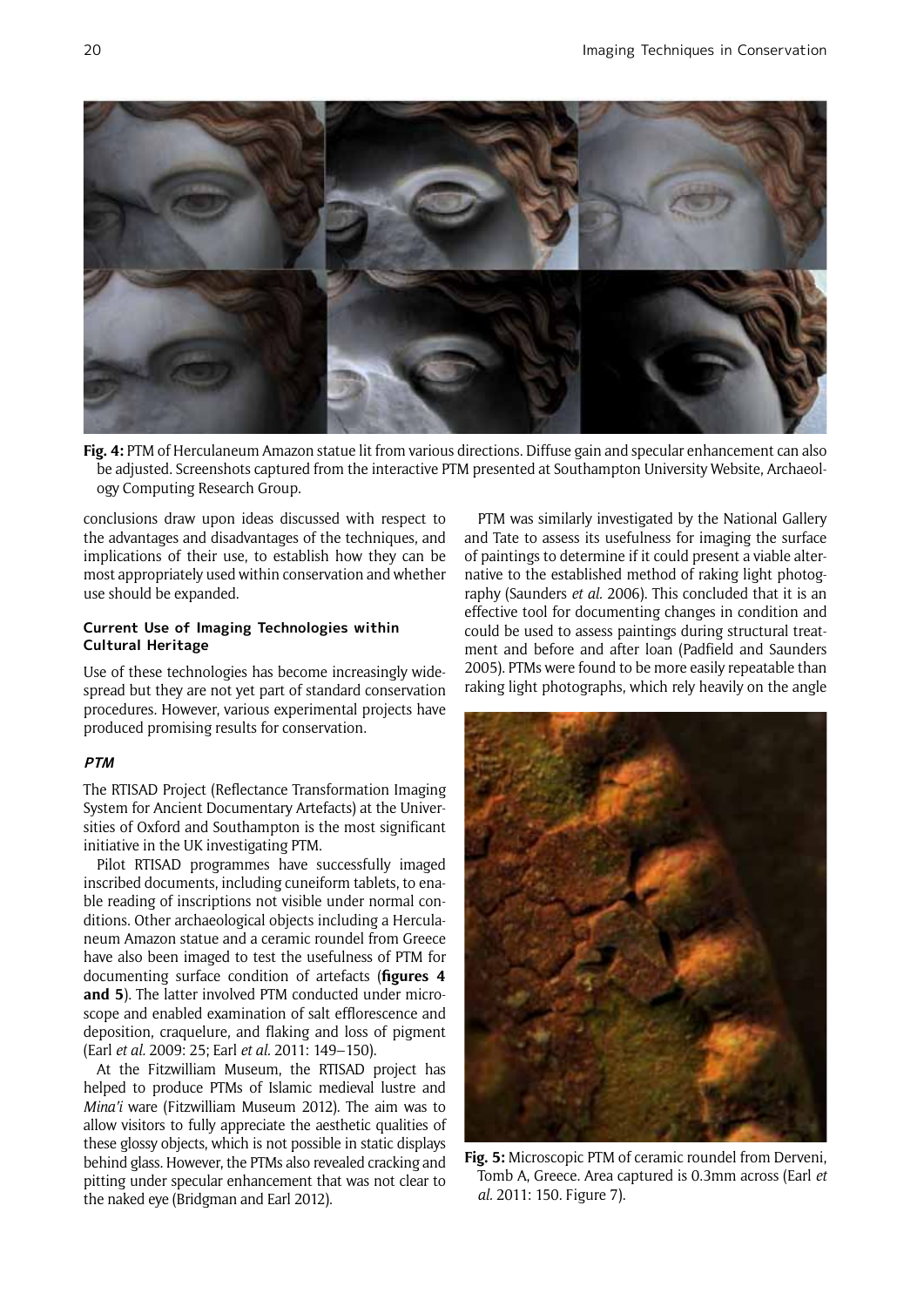

**Fig. 4:** PTM of Herculaneum Amazon statue lit from various directions. Diffuse gain and specular enhancement can also be adjusted. Screenshots captured from the interactive PTM presented at Southampton University Website, Archaeology Computing Research Group.

conclusions draw upon ideas discussed with respect to the advantages and disadvantages of the techniques, and implications of their use, to establish how they can be most appropriately used within conservation and whether use should be expanded.

## **Current Use of Imaging Technologies within Cultural Heritage**

Use of these technologies has become increasingly widespread but they are not yet part of standard conservation procedures. However, various experimental projects have produced promising results for conservation.

## **PTM**

The RTISAD Project (Reflectance Transformation Imaging System for Ancient Documentary Artefacts) at the Universities of Oxford and Southampton is the most significant initiative in the UK investigating PTM.

Pilot RTISAD programmes have successfully imaged inscribed documents, including cuneiform tablets, to enable reading of inscriptions not visible under normal conditions. Other archaeological objects including a Herculaneum Amazon statue and a ceramic roundel from Greece have also been imaged to test the usefulness of PTM for documenting surface condition of artefacts (**figures 4 and 5**). The latter involved PTM conducted under microscope and enabled examination of salt efflorescence and deposition, craquelure, and flaking and loss of pigment (Earl *et al.* 2009: 25; Earl *et al.* 2011: 149–150).

At the Fitzwilliam Museum, the RTISAD project has helped to produce PTMs of Islamic medieval lustre and *Mina'i* ware (Fitzwilliam Museum 2012). The aim was to allow visitors to fully appreciate the aesthetic qualities of these glossy objects, which is not possible in static displays behind glass. However, the PTMs also revealed cracking and pitting under specular enhancement that was not clear to the naked eye (Bridgman and Earl 2012).

PTM was similarly investigated by the National Gallery and Tate to assess its usefulness for imaging the surface of paintings to determine if it could present a viable alternative to the established method of raking light photography (Saunders *et al.* 2006). This concluded that it is an effective tool for documenting changes in condition and could be used to assess paintings during structural treatment and before and after loan (Padfield and Saunders 2005). PTMs were found to be more easily repeatable than raking light photographs, which rely heavily on the angle



**Fig. 5:** Microscopic PTM of ceramic roundel from Derveni, Tomb A, Greece. Area captured is 0.3mm across (Earl *et al.* 2011: 150. Figure 7).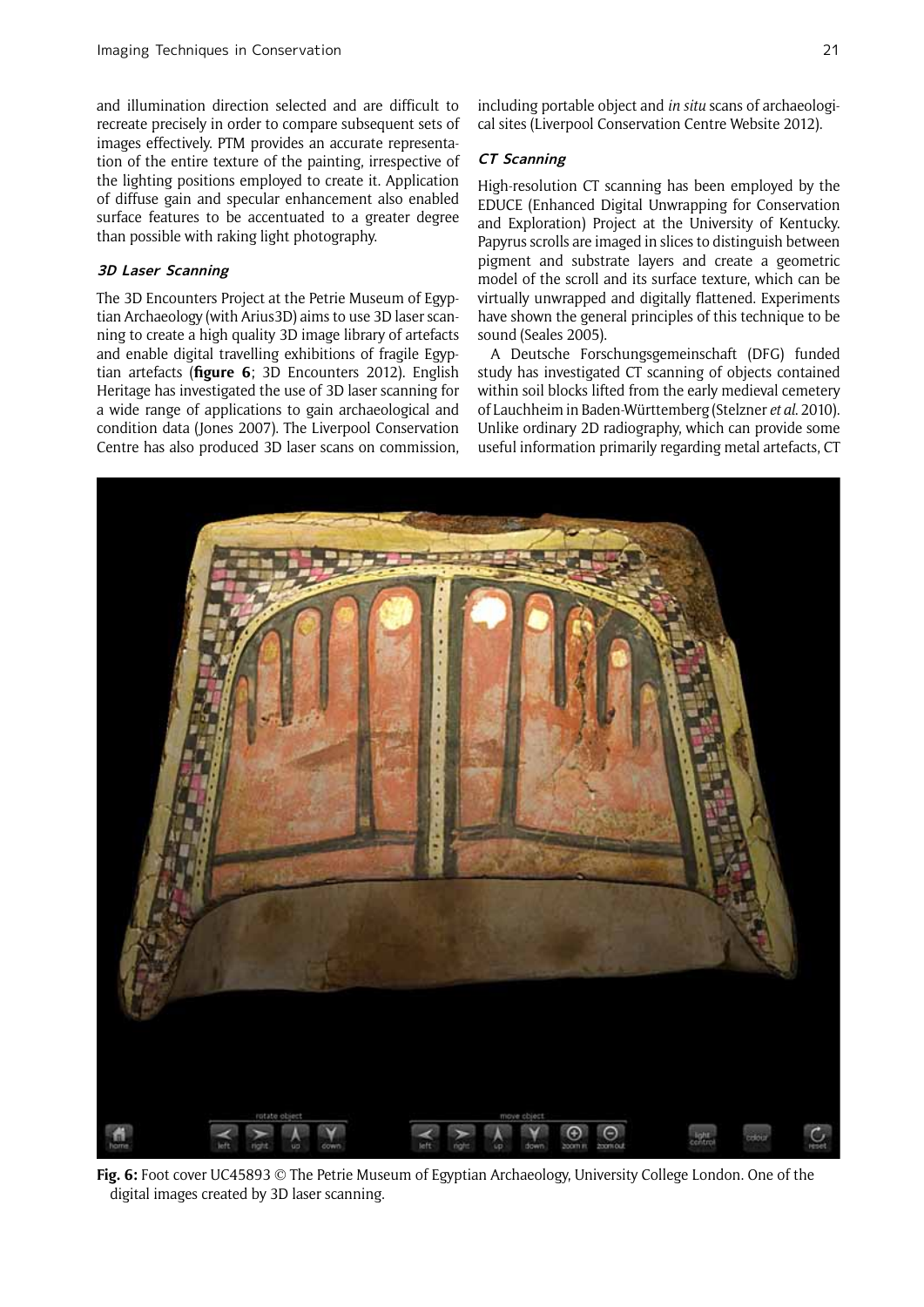and illumination direction selected and are difficult to recreate precisely in order to compare subsequent sets of images effectively. PTM provides an accurate representation of the entire texture of the painting, irrespective of the lighting positions employed to create it. Application of diffuse gain and specular enhancement also enabled surface features to be accentuated to a greater degree than possible with raking light photography.

# **3D Laser Scanning**

The 3D Encounters Project at the Petrie Museum of Egyptian Archaeology (with Arius3D) aims to use 3D laser scanning to create a high quality 3D image library of artefacts and enable digital travelling exhibitions of fragile Egyptian artefacts (**figure 6**; 3D Encounters 2012). English Heritage has investigated the use of 3D laser scanning for a wide range of applications to gain archaeological and condition data (Jones 2007). The Liverpool Conservation Centre has also produced 3D laser scans on commission, including portable object and *in situ* scans of archaeological sites (Liverpool Conservation Centre Website 2012).

## **CT Scanning**

High-resolution CT scanning has been employed by the EDUCE (Enhanced Digital Unwrapping for Conservation and Exploration) Project at the University of Kentucky. Papyrus scrolls are imaged in slices to distinguish between pigment and substrate layers and create a geometric model of the scroll and its surface texture, which can be virtually unwrapped and digitally flattened. Experiments have shown the general principles of this technique to be sound (Seales 2005).

A Deutsche Forschungsgemeinschaft (DFG) funded study has investigated CT scanning of objects contained within soil blocks lifted from the early medieval cemetery of Lauchheim in Baden-Württemberg (Stelzner *et al*. 2010). Unlike ordinary 2D radiography, which can provide some useful information primarily regarding metal artefacts, CT



**Fig. 6:** Foot cover UC45893 © The Petrie Museum of Egyptian Archaeology, University College London. One of the digital images created by 3D laser scanning.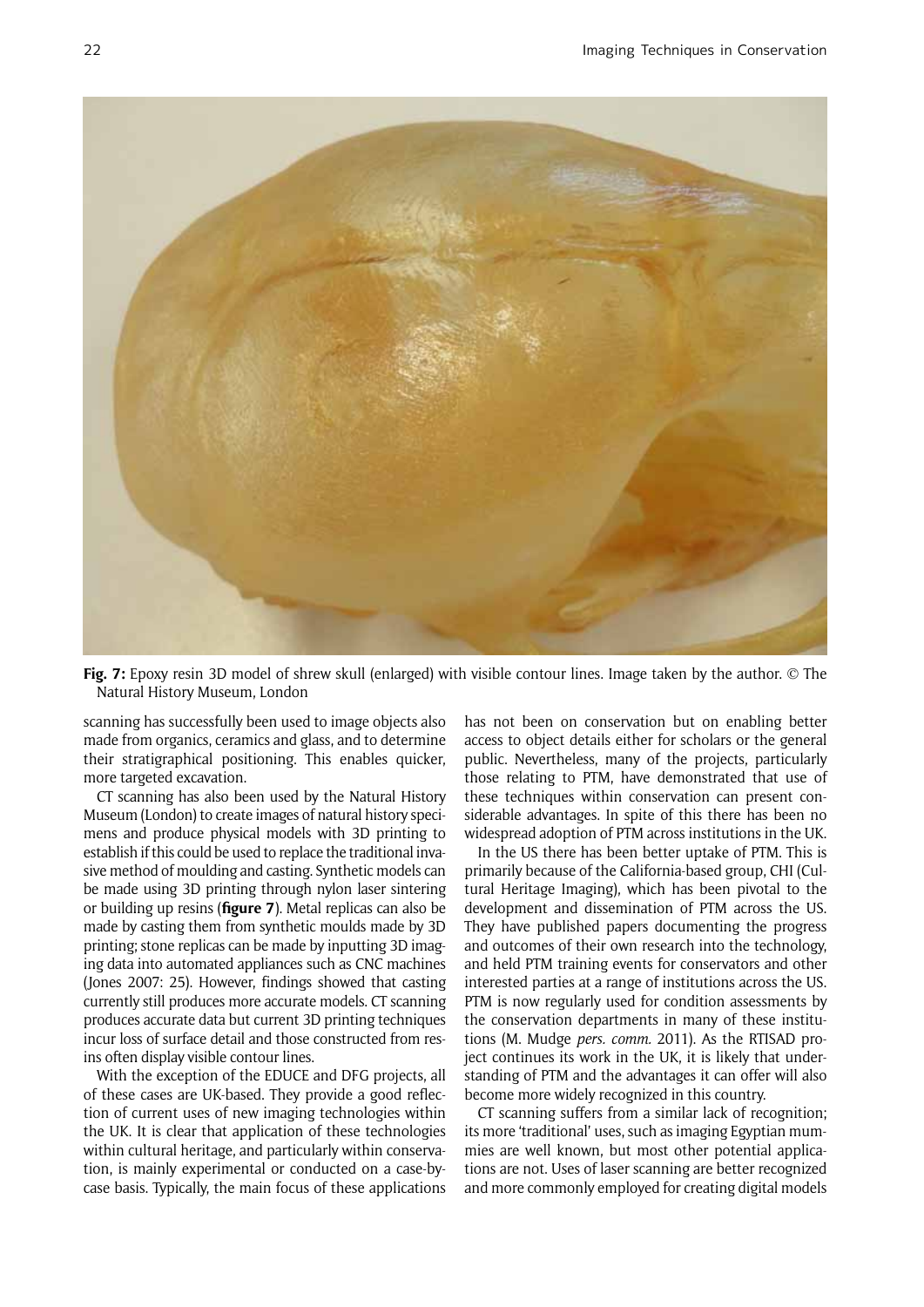

**Fig. 7:** Epoxy resin 3D model of shrew skull (enlarged) with visible contour lines. Image taken by the author. © The Natural History Museum, London

scanning has successfully been used to image objects also made from organics, ceramics and glass, and to determine their stratigraphical positioning. This enables quicker, more targeted excavation.

CT scanning has also been used by the Natural History Museum (London) to create images of natural history specimens and produce physical models with 3D printing to establish if this could be used to replace the traditional invasive method of moulding and casting. Synthetic models can be made using 3D printing through nylon laser sintering or building up resins (**figure 7**). Metal replicas can also be made by casting them from synthetic moulds made by 3D printing; stone replicas can be made by inputting 3D imaging data into automated appliances such as CNC machines (Jones 2007: 25). However, findings showed that casting currently still produces more accurate models. CT scanning produces accurate data but current 3D printing techniques incur loss of surface detail and those constructed from resins often display visible contour lines.

With the exception of the EDUCE and DFG projects, all of these cases are UK-based. They provide a good reflection of current uses of new imaging technologies within the UK. It is clear that application of these technologies within cultural heritage, and particularly within conservation, is mainly experimental or conducted on a case-bycase basis. Typically, the main focus of these applications has not been on conservation but on enabling better access to object details either for scholars or the general public. Nevertheless, many of the projects, particularly those relating to PTM, have demonstrated that use of these techniques within conservation can present considerable advantages. In spite of this there has been no widespread adoption of PTM across institutions in the UK.

In the US there has been better uptake of PTM. This is primarily because of the California-based group, CHI (Cultural Heritage Imaging), which has been pivotal to the development and dissemination of PTM across the US. They have published papers documenting the progress and outcomes of their own research into the technology, and held PTM training events for conservators and other interested parties at a range of institutions across the US. PTM is now regularly used for condition assessments by the conservation departments in many of these institutions (M. Mudge *pers. comm.* 2011). As the RTISAD project continues its work in the UK, it is likely that understanding of PTM and the advantages it can offer will also become more widely recognized in this country.

CT scanning suffers from a similar lack of recognition; its more 'traditional' uses, such as imaging Egyptian mummies are well known, but most other potential applications are not. Uses of laser scanning are better recognized and more commonly employed for creating digital models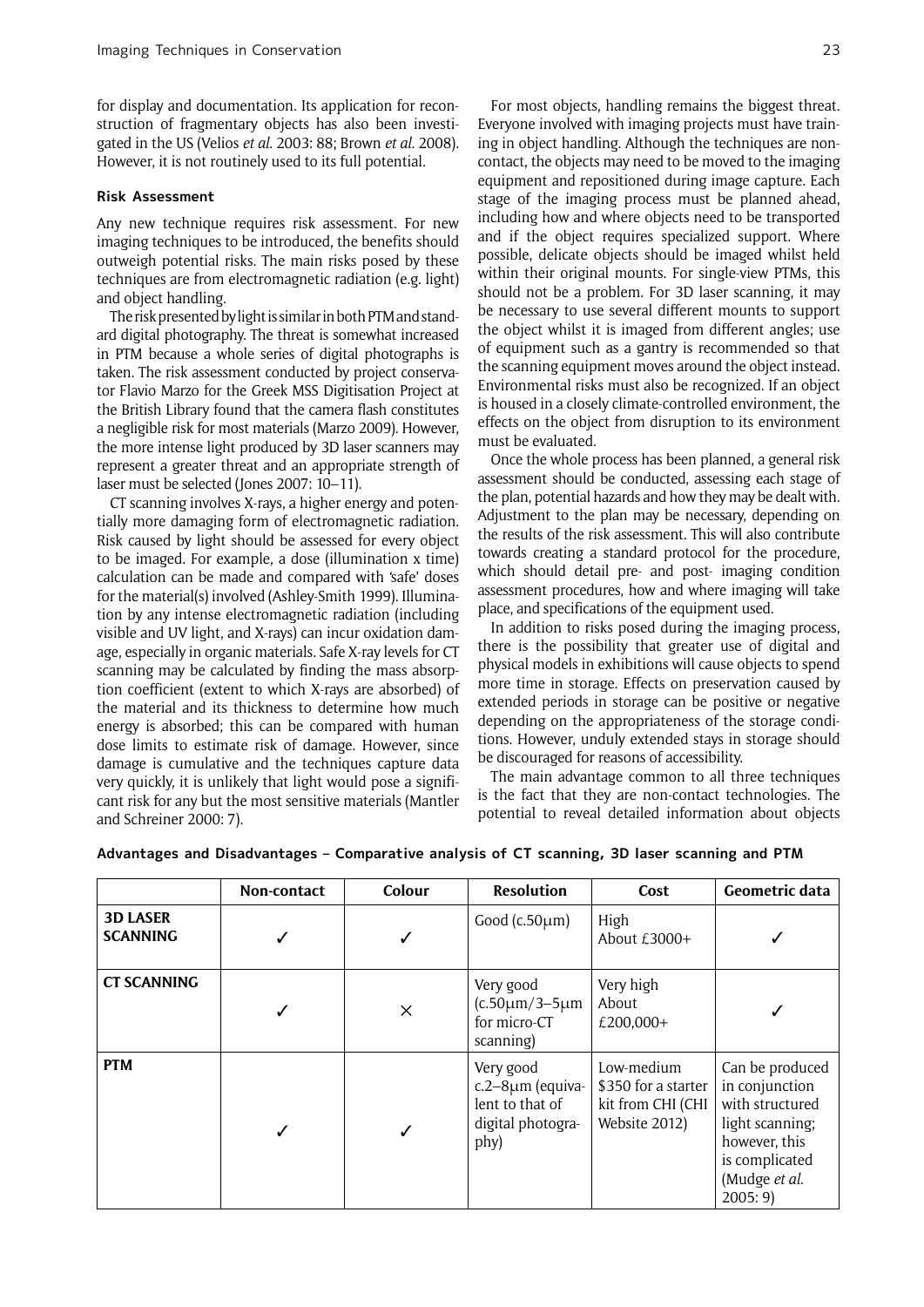for display and documentation. Its application for reconstruction of fragmentary objects has also been investigated in the US (Velios *et al.* 2003: 88; Brown *et al.* 2008). However, it is not routinely used to its full potential.

#### **Risk Assessment**

Any new technique requires risk assessment. For new imaging techniques to be introduced, the benefits should outweigh potential risks. The main risks posed by these techniques are from electromagnetic radiation (e.g. light) and object handling.

The risk presented by light is similar in both PTM and standard digital photography. The threat is somewhat increased in PTM because a whole series of digital photographs is taken. The risk assessment conducted by project conservator Flavio Marzo for the Greek MSS Digitisation Project at the British Library found that the camera flash constitutes a negligible risk for most materials (Marzo 2009). However, the more intense light produced by 3D laser scanners may represent a greater threat and an appropriate strength of laser must be selected (Jones 2007: 10–11).

CT scanning involves X-rays, a higher energy and potentially more damaging form of electromagnetic radiation. Risk caused by light should be assessed for every object to be imaged. For example, a dose (illumination x time) calculation can be made and compared with 'safe' doses for the material(s) involved (Ashley-Smith 1999). Illumination by any intense electromagnetic radiation (including visible and UV light, and X-rays) can incur oxidation damage, especially in organic materials. Safe X-ray levels for CT scanning may be calculated by finding the mass absorption coefficient (extent to which X-rays are absorbed) of the material and its thickness to determine how much energy is absorbed; this can be compared with human dose limits to estimate risk of damage. However, since damage is cumulative and the techniques capture data very quickly, it is unlikely that light would pose a significant risk for any but the most sensitive materials (Mantler and Schreiner 2000: 7).

For most objects, handling remains the biggest threat. Everyone involved with imaging projects must have training in object handling. Although the techniques are noncontact, the objects may need to be moved to the imaging equipment and repositioned during image capture. Each stage of the imaging process must be planned ahead, including how and where objects need to be transported and if the object requires specialized support. Where possible, delicate objects should be imaged whilst held within their original mounts. For single-view PTMs, this should not be a problem. For 3D laser scanning, it may be necessary to use several different mounts to support the object whilst it is imaged from different angles; use of equipment such as a gantry is recommended so that the scanning equipment moves around the object instead. Environmental risks must also be recognized. If an object is housed in a closely climate-controlled environment, the effects on the object from disruption to its environment must be evaluated.

Once the whole process has been planned, a general risk assessment should be conducted, assessing each stage of the plan, potential hazards and how they may be dealt with. Adjustment to the plan may be necessary, depending on the results of the risk assessment. This will also contribute towards creating a standard protocol for the procedure, which should detail pre- and post- imaging condition assessment procedures, how and where imaging will take place, and specifications of the equipment used.

In addition to risks posed during the imaging process, there is the possibility that greater use of digital and physical models in exhibitions will cause objects to spend more time in storage. Effects on preservation caused by extended periods in storage can be positive or negative depending on the appropriateness of the storage conditions. However, unduly extended stays in storage should be discouraged for reasons of accessibility.

The main advantage common to all three techniques is the fact that they are non-contact technologies. The potential to reveal detailed information about objects

|                                    | Non-contact | Colour   | <b>Resolution</b>                                                             | Cost                                                                    | Geometric data                                                                                                                        |
|------------------------------------|-------------|----------|-------------------------------------------------------------------------------|-------------------------------------------------------------------------|---------------------------------------------------------------------------------------------------------------------------------------|
| <b>3D LASER</b><br><b>SCANNING</b> |             |          | Good ( $c.50 \mu m$ )                                                         | High<br>About $£3000+$                                                  |                                                                                                                                       |
| <b>CT SCANNING</b>                 |             | $\times$ | Very good<br>$(c.50 \mu m/3 - 5 \mu m)$<br>for micro-CT<br>scanning)          | Very high<br>About<br>£200,000+                                         |                                                                                                                                       |
| <b>PTM</b>                         | ✓           |          | Very good<br>c.2-8µm (equiva-<br>lent to that of<br>digital photogra-<br>phy) | Low-medium<br>\$350 for a starter<br>kit from CHI (CHI<br>Website 2012) | Can be produced<br>in conjunction<br>with structured<br>light scanning;<br>however, this<br>is complicated<br>(Mudge et al.<br>2005:9 |

## **Advantages and Disadvantages – Comparative analysis of CT scanning, 3D laser scanning and PTM**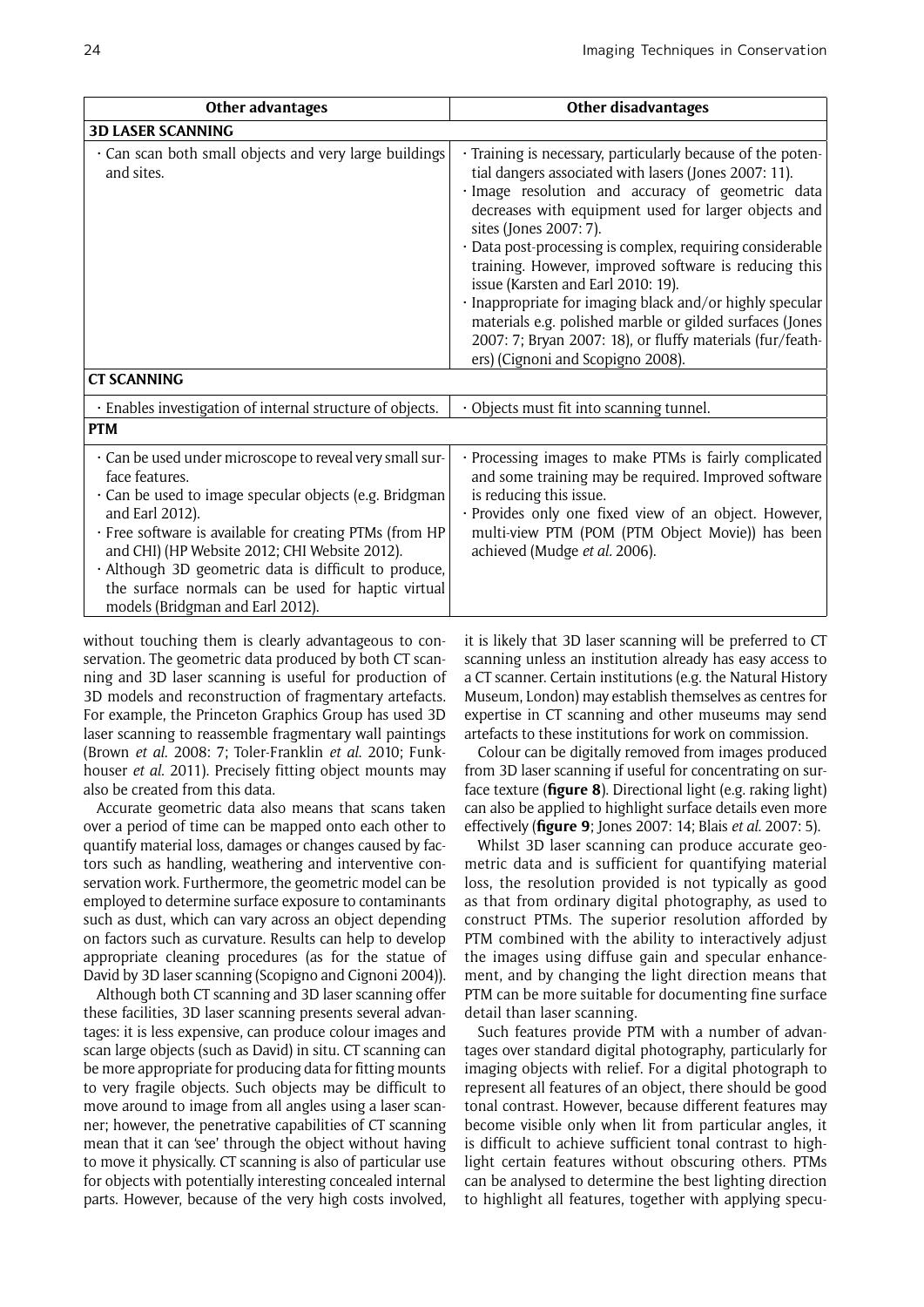| Other advantages                                                                                                                                                                                                                                                                                                                                                                                                       | <b>Other disadvantages</b>                                                                                                                                                                                                                                                                                                                                                                                                                                                                                                                                                                                                                        |  |  |  |
|------------------------------------------------------------------------------------------------------------------------------------------------------------------------------------------------------------------------------------------------------------------------------------------------------------------------------------------------------------------------------------------------------------------------|---------------------------------------------------------------------------------------------------------------------------------------------------------------------------------------------------------------------------------------------------------------------------------------------------------------------------------------------------------------------------------------------------------------------------------------------------------------------------------------------------------------------------------------------------------------------------------------------------------------------------------------------------|--|--|--|
| <b>3D LASER SCANNING</b>                                                                                                                                                                                                                                                                                                                                                                                               |                                                                                                                                                                                                                                                                                                                                                                                                                                                                                                                                                                                                                                                   |  |  |  |
| Can scan both small objects and very large buildings<br>and sites.                                                                                                                                                                                                                                                                                                                                                     | · Training is necessary, particularly because of the poten-<br>tial dangers associated with lasers (Jones 2007: 11).<br>· Image resolution and accuracy of geometric data<br>decreases with equipment used for larger objects and<br>sites (Jones 2007: 7).<br>· Data post-processing is complex, requiring considerable<br>training. However, improved software is reducing this<br>issue (Karsten and Earl 2010: 19).<br>· Inappropriate for imaging black and/or highly specular<br>materials e.g. polished marble or gilded surfaces (Jones<br>2007: 7; Bryan 2007: 18), or fluffy materials (fur/feath-<br>ers) (Cignoni and Scopigno 2008). |  |  |  |
| <b>CT SCANNING</b>                                                                                                                                                                                                                                                                                                                                                                                                     |                                                                                                                                                                                                                                                                                                                                                                                                                                                                                                                                                                                                                                                   |  |  |  |
| · Enables investigation of internal structure of objects.                                                                                                                                                                                                                                                                                                                                                              | · Objects must fit into scanning tunnel.                                                                                                                                                                                                                                                                                                                                                                                                                                                                                                                                                                                                          |  |  |  |
| <b>PTM</b>                                                                                                                                                                                                                                                                                                                                                                                                             |                                                                                                                                                                                                                                                                                                                                                                                                                                                                                                                                                                                                                                                   |  |  |  |
| . Can be used under microscope to reveal very small sur-<br>face features.<br>· Can be used to image specular objects (e.g. Bridgman<br>and Earl 2012).<br>· Free software is available for creating PTMs (from HP<br>and CHI) (HP Website 2012; CHI Website 2012).<br>· Although 3D geometric data is difficult to produce,<br>the surface normals can be used for haptic virtual<br>models (Bridgman and Earl 2012). | · Processing images to make PTMs is fairly complicated<br>and some training may be required. Improved software<br>is reducing this issue.<br>· Provides only one fixed view of an object. However,<br>multi-view PTM (POM (PTM Object Movie)) has been<br>achieved (Mudge et al. 2006).                                                                                                                                                                                                                                                                                                                                                           |  |  |  |

without touching them is clearly advantageous to conservation. The geometric data produced by both CT scanning and 3D laser scanning is useful for production of 3D models and reconstruction of fragmentary artefacts. For example, the Princeton Graphics Group has used 3D laser scanning to reassemble fragmentary wall paintings (Brown *et al*. 2008: 7; Toler-Franklin *et al*. 2010; Funkhouser *et al*. 2011). Precisely fitting object mounts may also be created from this data.

Accurate geometric data also means that scans taken over a period of time can be mapped onto each other to quantify material loss, damages or changes caused by factors such as handling, weathering and interventive conservation work. Furthermore, the geometric model can be employed to determine surface exposure to contaminants such as dust, which can vary across an object depending on factors such as curvature. Results can help to develop appropriate cleaning procedures (as for the statue of David by 3D laser scanning (Scopigno and Cignoni 2004)).

Although both CT scanning and 3D laser scanning offer these facilities, 3D laser scanning presents several advantages: it is less expensive, can produce colour images and scan large objects (such as David) in situ. CT scanning can be more appropriate for producing data for fitting mounts to very fragile objects. Such objects may be difficult to move around to image from all angles using a laser scanner; however, the penetrative capabilities of CT scanning mean that it can 'see' through the object without having to move it physically. CT scanning is also of particular use for objects with potentially interesting concealed internal parts. However, because of the very high costs involved, it is likely that 3D laser scanning will be preferred to CT scanning unless an institution already has easy access to a CT scanner. Certain institutions (e.g. the Natural History Museum, London) may establish themselves as centres for expertise in CT scanning and other museums may send artefacts to these institutions for work on commission.

Colour can be digitally removed from images produced from 3D laser scanning if useful for concentrating on surface texture (**figure 8**). Directional light (e.g. raking light) can also be applied to highlight surface details even more effectively (**figure 9**; Jones 2007: 14; Blais *et al.* 2007: 5).

Whilst 3D laser scanning can produce accurate geometric data and is sufficient for quantifying material loss, the resolution provided is not typically as good as that from ordinary digital photography, as used to construct PTMs. The superior resolution afforded by PTM combined with the ability to interactively adjust the images using diffuse gain and specular enhancement, and by changing the light direction means that PTM can be more suitable for documenting fine surface detail than laser scanning.

Such features provide PTM with a number of advantages over standard digital photography, particularly for imaging objects with relief. For a digital photograph to represent all features of an object, there should be good tonal contrast. However, because different features may become visible only when lit from particular angles, it is difficult to achieve sufficient tonal contrast to highlight certain features without obscuring others. PTMs can be analysed to determine the best lighting direction to highlight all features, together with applying specu-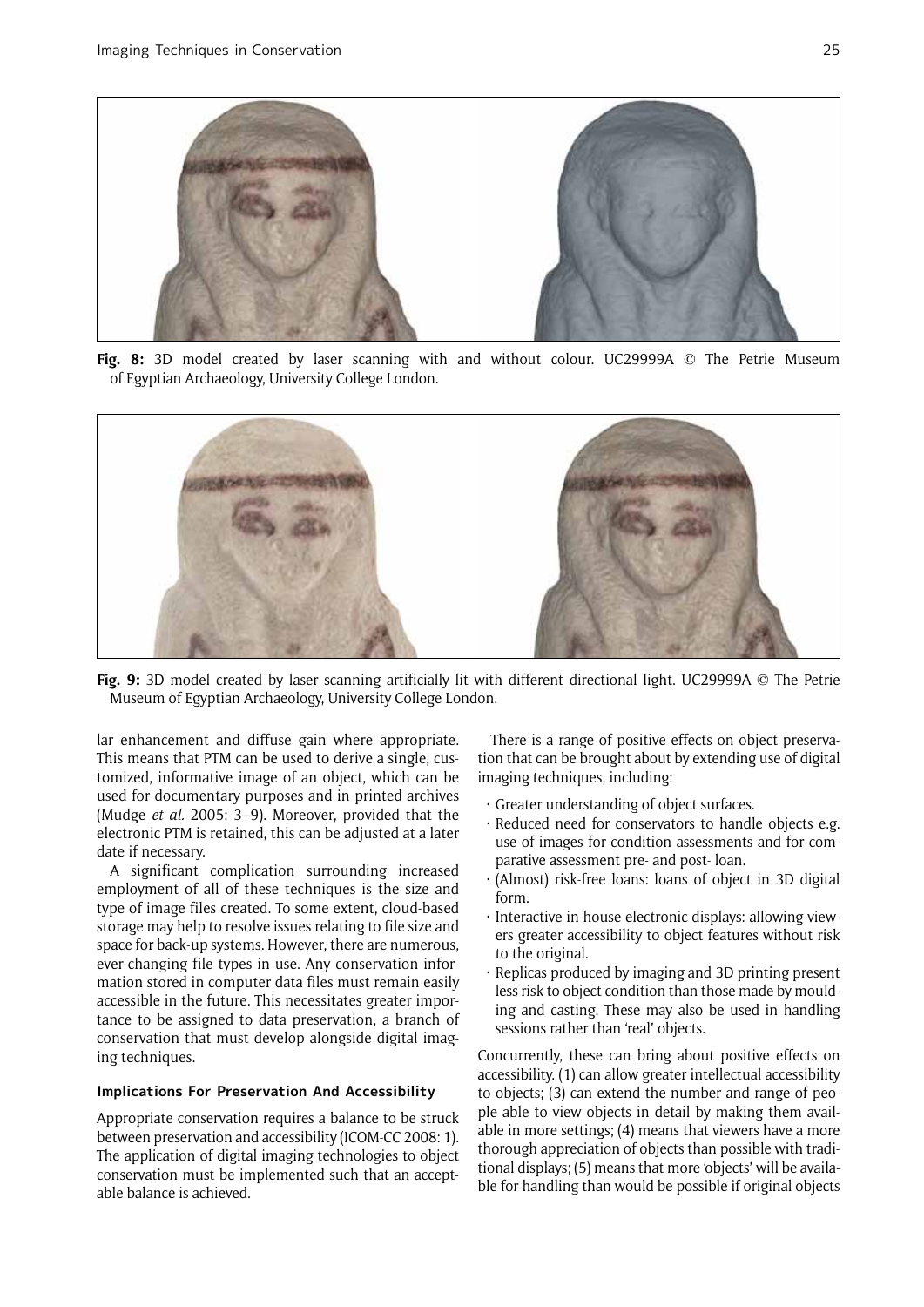

**Fig. 8:** 3D model created by laser scanning with and without colour. UC29999A © The Petrie Museum of Egyptian Archaeology, University College London.



**Fig. 9:** 3D model created by laser scanning artificially lit with different directional light. UC29999A © The Petrie Museum of Egyptian Archaeology, University College London.

lar enhancement and diffuse gain where appropriate. This means that PTM can be used to derive a single, customized, informative image of an object, which can be used for documentary purposes and in printed archives (Mudge *et al.* 2005: 3–9). Moreover, provided that the electronic PTM is retained, this can be adjusted at a later date if necessary.

A significant complication surrounding increased employment of all of these techniques is the size and type of image files created. To some extent, cloud-based storage may help to resolve issues relating to file size and space for back-up systems. However, there are numerous, ever-changing file types in use. Any conservation information stored in computer data files must remain easily accessible in the future. This necessitates greater importance to be assigned to data preservation, a branch of conservation that must develop alongside digital imaging techniques.

#### **Implications For Preservation And Accessibility**

Appropriate conservation requires a balance to be struck between preservation and accessibility (ICOM-CC 2008: 1). The application of digital imaging technologies to object conservation must be implemented such that an acceptable balance is achieved.

There is a range of positive effects on object preservation that can be brought about by extending use of digital imaging techniques, including:

- • Greater understanding of object surfaces.
- · Reduced need for conservators to handle objects e.g. use of images for condition assessments and for comparative assessment pre- and post- loan.
- • (Almost) risk-free loans: loans of object in 3D digital form.
- • Interactive in-house electronic displays: allowing viewers greater accessibility to object features without risk to the original.
- • Replicas produced by imaging and 3D printing present less risk to object condition than those made by moulding and casting. These may also be used in handling sessions rather than 'real' objects.

Concurrently, these can bring about positive effects on accessibility. (1) can allow greater intellectual accessibility to objects; (3) can extend the number and range of people able to view objects in detail by making them available in more settings; (4) means that viewers have a more thorough appreciation of objects than possible with traditional displays; (5) means that more 'objects' will be available for handling than would be possible if original objects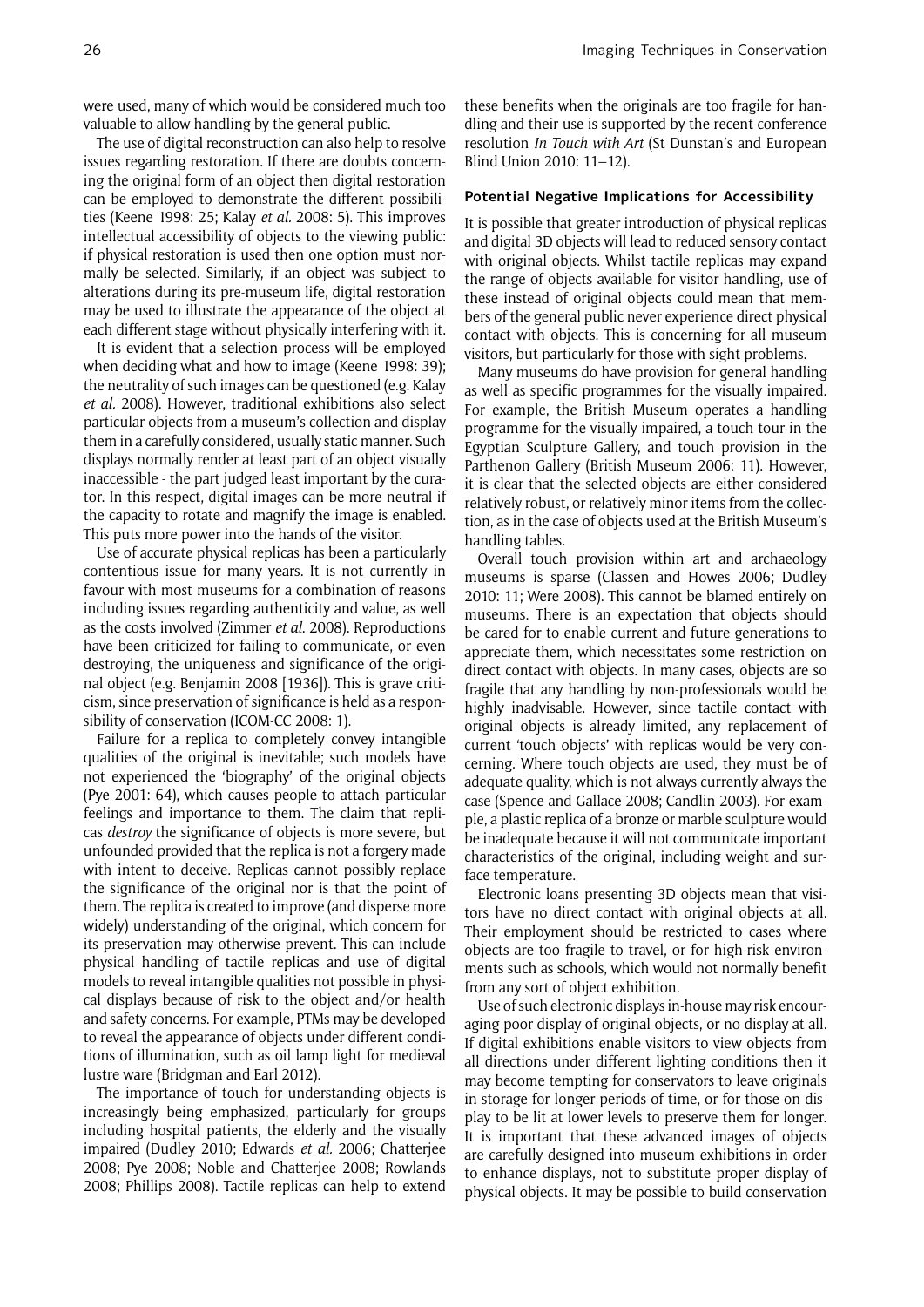were used, many of which would be considered much too valuable to allow handling by the general public.

The use of digital reconstruction can also help to resolve issues regarding restoration. If there are doubts concerning the original form of an object then digital restoration can be employed to demonstrate the different possibilities (Keene 1998: 25; Kalay *et al.* 2008: 5). This improves intellectual accessibility of objects to the viewing public: if physical restoration is used then one option must normally be selected. Similarly, if an object was subject to alterations during its pre-museum life, digital restoration may be used to illustrate the appearance of the object at each different stage without physically interfering with it.

It is evident that a selection process will be employed when deciding what and how to image (Keene 1998: 39); the neutrality of such images can be questioned (e.g. Kalay *et al.* 2008). However, traditional exhibitions also select particular objects from a museum's collection and display them in a carefully considered, usually static manner. Such displays normally render at least part of an object visually inaccessible - the part judged least important by the curator. In this respect, digital images can be more neutral if the capacity to rotate and magnify the image is enabled. This puts more power into the hands of the visitor.

Use of accurate physical replicas has been a particularly contentious issue for many years. It is not currently in favour with most museums for a combination of reasons including issues regarding authenticity and value, as well as the costs involved (Zimmer *et al*. 2008). Reproductions have been criticized for failing to communicate, or even destroying, the uniqueness and significance of the original object (e.g. Benjamin 2008 [1936]). This is grave criticism, since preservation of significance is held as a responsibility of conservation (ICOM-CC 2008: 1).

Failure for a replica to completely convey intangible qualities of the original is inevitable; such models have not experienced the 'biography' of the original objects (Pye 2001: 64), which causes people to attach particular feelings and importance to them. The claim that replicas *destroy* the significance of objects is more severe, but unfounded provided that the replica is not a forgery made with intent to deceive. Replicas cannot possibly replace the significance of the original nor is that the point of them. The replica is created to improve (and disperse more widely) understanding of the original, which concern for its preservation may otherwise prevent. This can include physical handling of tactile replicas and use of digital models to reveal intangible qualities not possible in physical displays because of risk to the object and/or health and safety concerns. For example, PTMs may be developed to reveal the appearance of objects under different conditions of illumination, such as oil lamp light for medieval lustre ware (Bridgman and Earl 2012).

The importance of touch for understanding objects is increasingly being emphasized, particularly for groups including hospital patients, the elderly and the visually impaired (Dudley 2010; Edwards *et al.* 2006; Chatterjee 2008; Pye 2008; Noble and Chatterjee 2008; Rowlands 2008; Phillips 2008). Tactile replicas can help to extend these benefits when the originals are too fragile for handling and their use is supported by the recent conference resolution *In Touch with Art* (St Dunstan's and European Blind Union 2010: 11–12).

#### **Potential Negative Implications for Accessibility**

It is possible that greater introduction of physical replicas and digital 3D objects will lead to reduced sensory contact with original objects. Whilst tactile replicas may expand the range of objects available for visitor handling, use of these instead of original objects could mean that members of the general public never experience direct physical contact with objects. This is concerning for all museum visitors, but particularly for those with sight problems.

Many museums do have provision for general handling as well as specific programmes for the visually impaired. For example, the British Museum operates a handling programme for the visually impaired, a touch tour in the Egyptian Sculpture Gallery, and touch provision in the Parthenon Gallery (British Museum 2006: 11). However, it is clear that the selected objects are either considered relatively robust, or relatively minor items from the collection, as in the case of objects used at the British Museum's handling tables.

Overall touch provision within art and archaeology museums is sparse (Classen and Howes 2006; Dudley 2010: 11; Were 2008). This cannot be blamed entirely on museums. There is an expectation that objects should be cared for to enable current and future generations to appreciate them, which necessitates some restriction on direct contact with objects. In many cases, objects are so fragile that any handling by non-professionals would be highly inadvisable. However, since tactile contact with original objects is already limited, any replacement of current 'touch objects' with replicas would be very concerning. Where touch objects are used, they must be of adequate quality, which is not always currently always the case (Spence and Gallace 2008; Candlin 2003). For example, a plastic replica of a bronze or marble sculpture would be inadequate because it will not communicate important characteristics of the original, including weight and surface temperature.

Electronic loans presenting 3D objects mean that visitors have no direct contact with original objects at all. Their employment should be restricted to cases where objects are too fragile to travel, or for high-risk environments such as schools, which would not normally benefit from any sort of object exhibition.

Use of such electronic displays in-house may risk encouraging poor display of original objects, or no display at all. If digital exhibitions enable visitors to view objects from all directions under different lighting conditions then it may become tempting for conservators to leave originals in storage for longer periods of time, or for those on display to be lit at lower levels to preserve them for longer. It is important that these advanced images of objects are carefully designed into museum exhibitions in order to enhance displays, not to substitute proper display of physical objects. It may be possible to build conservation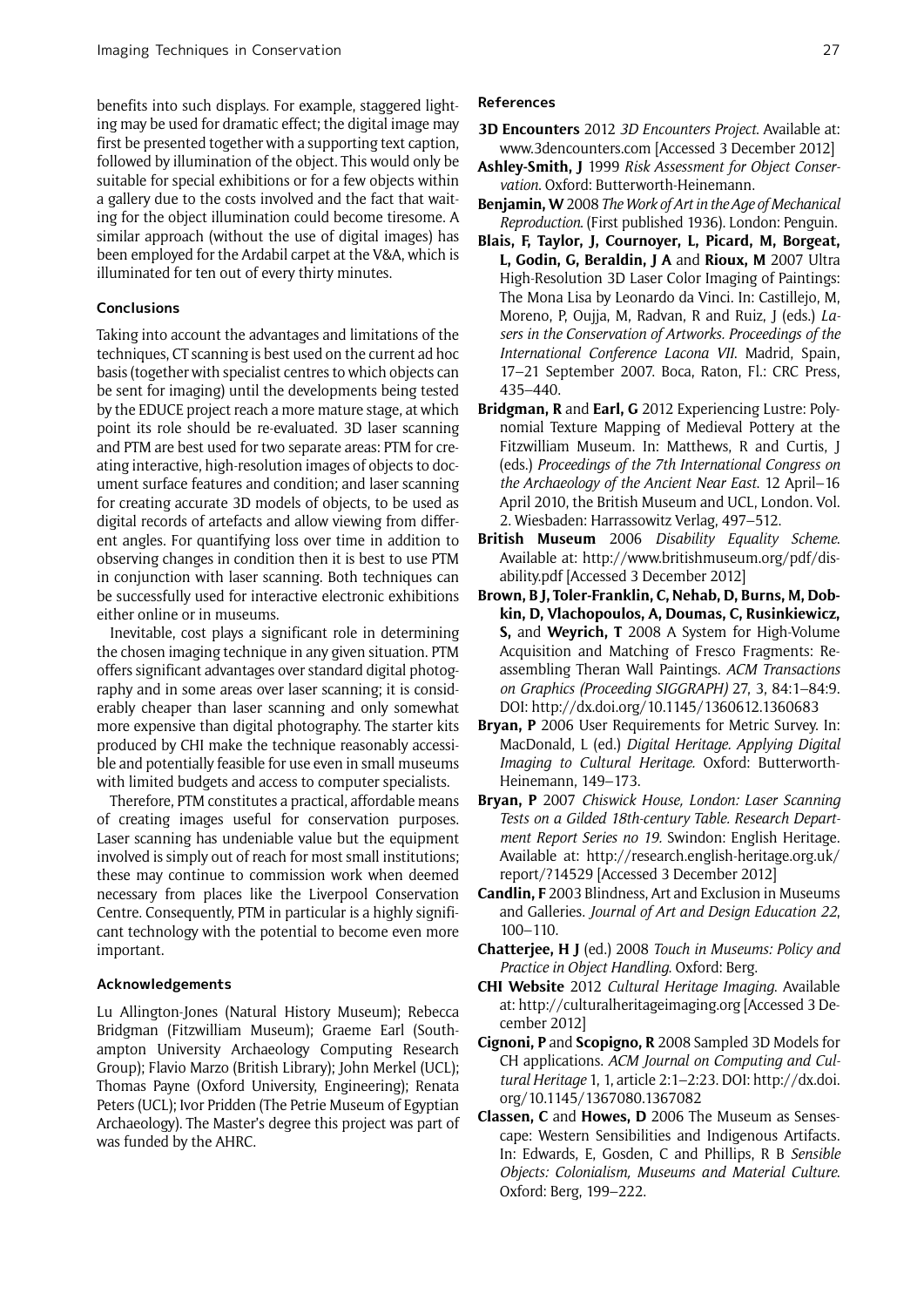benefits into such displays. For example, staggered lighting may be used for dramatic effect; the digital image may first be presented together with a supporting text caption, followed by illumination of the object. This would only be suitable for special exhibitions or for a few objects within a gallery due to the costs involved and the fact that waiting for the object illumination could become tiresome. A similar approach (without the use of digital images) has been employed for the Ardabil carpet at the V&A, which is illuminated for ten out of every thirty minutes.

#### **Conclusions**

Taking into account the advantages and limitations of the techniques, CT scanning is best used on the current ad hoc basis (together with specialist centres to which objects can be sent for imaging) until the developments being tested by the EDUCE project reach a more mature stage, at which point its role should be re-evaluated. 3D laser scanning and PTM are best used for two separate areas: PTM for creating interactive, high-resolution images of objects to document surface features and condition; and laser scanning for creating accurate 3D models of objects, to be used as digital records of artefacts and allow viewing from different angles. For quantifying loss over time in addition to observing changes in condition then it is best to use PTM in conjunction with laser scanning. Both techniques can be successfully used for interactive electronic exhibitions either online or in museums.

Inevitable, cost plays a significant role in determining the chosen imaging technique in any given situation. PTM offers significant advantages over standard digital photography and in some areas over laser scanning; it is considerably cheaper than laser scanning and only somewhat more expensive than digital photography. The starter kits produced by CHI make the technique reasonably accessible and potentially feasible for use even in small museums with limited budgets and access to computer specialists.

Therefore, PTM constitutes a practical, affordable means of creating images useful for conservation purposes. Laser scanning has undeniable value but the equipment involved is simply out of reach for most small institutions; these may continue to commission work when deemed necessary from places like the Liverpool Conservation Centre. Consequently, PTM in particular is a highly significant technology with the potential to become even more important.

### **Acknowledgements**

Lu Allington-Jones (Natural History Museum); Rebecca Bridgman (Fitzwilliam Museum); Graeme Earl (Southampton University Archaeology Computing Research Group); Flavio Marzo (British Library); John Merkel (UCL); Thomas Payne (Oxford University, Engineering); Renata Peters (UCL); Ivor Pridden (The Petrie Museum of Egyptian Archaeology). The Master's degree this project was part of was funded by the AHRC.

## **References**

- **3D Encounters** 2012 *3D Encounters Project*. Available at: www.3dencounters.com [Accessed 3 December 2012]
- **Ashley-Smith, J** 1999 *Risk Assessment for Object Conservation*. Oxford: Butterworth-Heinemann.
- **Benjamin, W** 2008 *The Work of Art in the Age of Mechanical Reproduction*. (First published 1936). London: Penguin.
- **Blais, F, Taylor, J, Cournoyer, L, Picard, M, Borgeat, L, Godin, G, Beraldin, J A** and **Rioux, M** 2007 Ultra High-Resolution 3D Laser Color Imaging of Paintings: The Mona Lisa by Leonardo da Vinci. In: Castillejo, M, Moreno, P, Oujja, M, Radvan, R and Ruiz, J (eds.) *Lasers in the Conservation of Artworks. Proceedings of the International Conference Lacona VII*. Madrid, Spain, 17–21 September 2007. Boca, Raton, Fl.: CRC Press, 435–440.
- **Bridgman, R** and **Earl, G** 2012 Experiencing Lustre: Polynomial Texture Mapping of Medieval Pottery at the Fitzwilliam Museum. In: Matthews, R and Curtis, J (eds.) *Proceedings of the 7th International Congress on the Archaeology of the Ancient Near East*. 12 April–16 April 2010, the British Museum and UCL, London. Vol. 2. Wiesbaden: Harrassowitz Verlag, 497–512.
- **British Museum** 2006 *Disability Equality Scheme*. Available at: http://www.britishmuseum.org/pdf/disability.pdf [Accessed 3 December 2012]
- **Brown, B J, Toler-Franklin, C, Nehab, D, Burns, M, Dobkin, D, Vlachopoulos, A, Doumas, C, Rusinkiewicz, S,** and **Weyrich, T** 2008 A System for High-Volume Acquisition and Matching of Fresco Fragments: Reassembling Theran Wall Paintings. *ACM Transactions on Graphics (Proceeding SIGGRAPH)* 27, 3, 84:1–84:9. DOI: http://dx.doi.org/10.1145/1360612.1360683
- **Bryan, P** 2006 User Requirements for Metric Survey. In: MacDonald, L (ed.) *Digital Heritage. Applying Digital Imaging to Cultural Heritage.* Oxford: Butterworth-Heinemann, 149–173.
- **Bryan, P** 2007 *Chiswick House, London: Laser Scanning Tests on a Gilded 18th-century Table. Research Department Report Series no 19.* Swindon: English Heritage. Available at: http://research.english-heritage.org.uk/ report/?14529 [Accessed 3 December 2012]
- **Candlin, F** 2003 Blindness, Art and Exclusion in Museums and Galleries. *Journal of Art and Design Education 22*, 100–110.
- **Chatterjee, H J** (ed.) 2008 *Touch in Museums: Policy and Practice in Object Handling*. Oxford: Berg.
- **CHI Website** 2012 *Cultural Heritage Imaging*. Available at: http://culturalheritageimaging.org [Accessed 3 December 2012]
- **Cignoni, P** and **Scopigno, R** 2008 Sampled 3D Models for CH applications. *ACM Journal on Computing and Cultural Heritage* 1, 1, article 2:1–2:23. DOI: http://dx.doi. org/10.1145/1367080.1367082
- **Classen, C** and **Howes, D** 2006 The Museum as Sensescape: Western Sensibilities and Indigenous Artifacts. In: Edwards, E, Gosden, C and Phillips, R B *Sensible Objects: Colonialism, Museums and Material Culture*. Oxford: Berg, 199–222.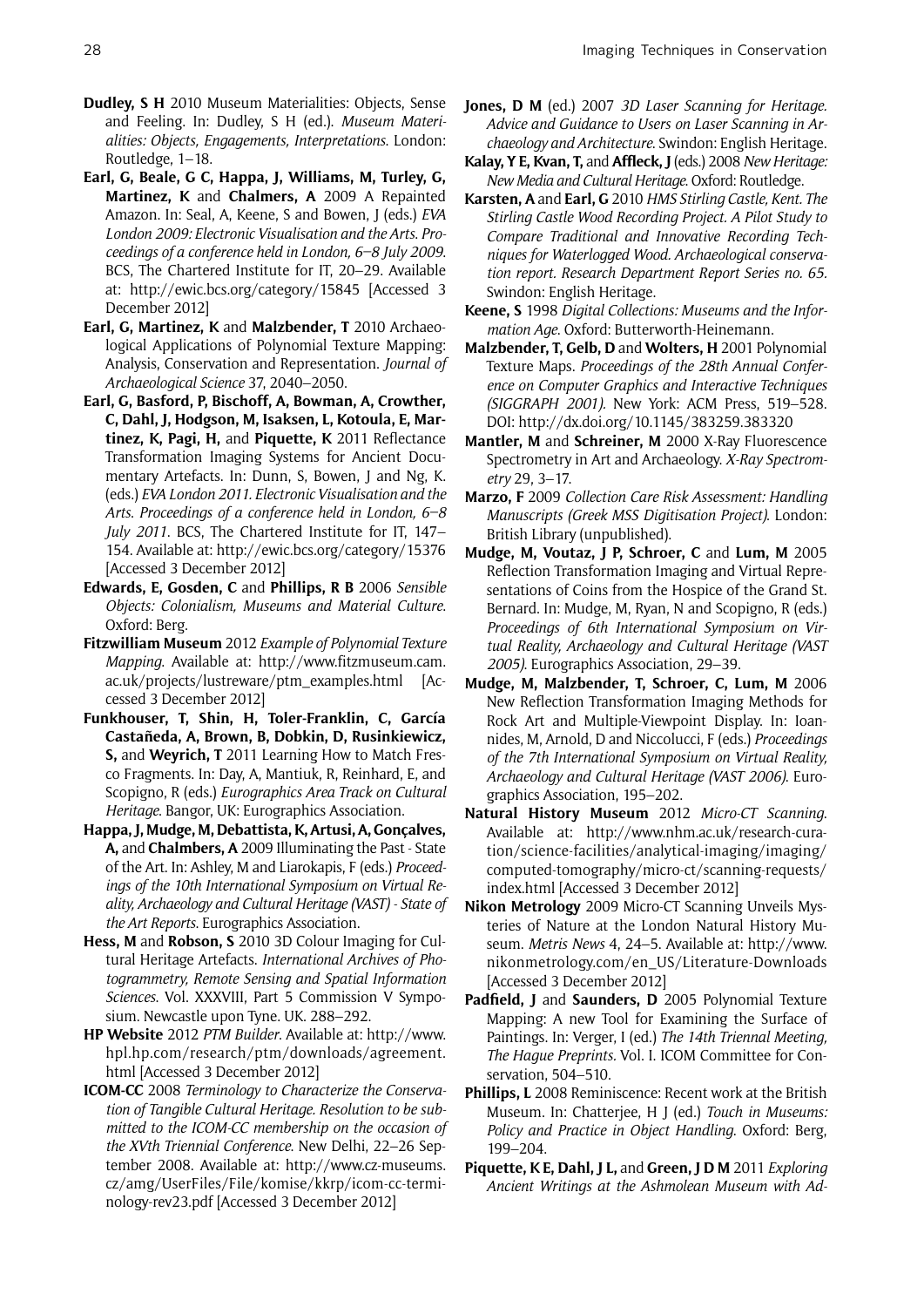- **Dudley, S H** 2010 Museum Materialities: Objects, Sense and Feeling. In: Dudley, S H (ed.). *Museum Materialities: Objects, Engagements, Interpretations*. London: Routledge, 1–18.
- **Earl, G, Beale, G C, Happa, J, Williams, M, Turley, G, Martinez, K** and **Chalmers, A** 2009 A Repainted Amazon. In: Seal, A, Keene, S and Bowen, J (eds.) *EVA London 2009: Electronic Visualisation and the Arts*. *Proceedings of a conference held in London, 6–8 July 2009*. BCS, The Chartered Institute for IT, 20–29. Available at: http://ewic.bcs.org/category/15845 [Accessed 3 December 2012]
- **Earl, G, Martinez, K** and **Malzbender, T** 2010 Archaeological Applications of Polynomial Texture Mapping: Analysis, Conservation and Representation. *Journal of Archaeological Science* 37, 2040–2050.
- **Earl, G, Basford, P, Bischoff, A, Bowman, A, Crowther, C, Dahl, J, Hodgson, M, Isaksen, L, Kotoula, E, Martinez, K, Pagi, H,** and **Piquette, K** 2011 Reflectance Transformation Imaging Systems for Ancient Documentary Artefacts. In: Dunn, S, Bowen, J and Ng, K. (eds.) *EVA London 2011. Electronic Visualisation and the Arts*. *Proceedings of a conference held in London, 6–8 July 2011*. BCS, The Chartered Institute for IT, 147– 154. Available at: http://ewic.bcs.org/category/15376 [Accessed 3 December 2012]
- **Edwards, E, Gosden, C** and **Phillips, R B** 2006 *Sensible Objects: Colonialism, Museums and Material Culture*. Oxford: Berg.
- **Fitzwilliam Museum** 2012 *Example of Polynomial Texture Mapping*. Available at: http://www.fitzmuseum.cam. ac.uk/projects/lustreware/ptm\_examples.html [Accessed 3 December 2012]
- **Funkhouser, T, Shin, H, Toler-Franklin, C, García Castañeda, A, Brown, B, Dobkin, D, Rusinkiewicz, S,** and **Weyrich, T** 2011 Learning How to Match Fresco Fragments. In: Day, A, Mantiuk, R, Reinhard, E, and Scopigno, R (eds.) *Eurographics Area Track on Cultural Heritage*. Bangor, UK: Eurographics Association.
- **Happa, J, Mudge, M, Debattista, K, Artusi, A, Gonçalves, A,** and **Chalmbers, A** 2009 Illuminating the Past - State of the Art. In: Ashley, M and Liarokapis, F (eds.) *Proceedings of the 10th International Symposium on Virtual Reality, Archaeology and Cultural Heritage (VAST) - State of the Art Reports*. Eurographics Association.
- **Hess, M** and **Robson, S** 2010 3D Colour Imaging for Cultural Heritage Artefacts. *International Archives of Photogrammetry, Remote Sensing and Spatial Information Sciences*. Vol. XXXVIII, Part 5 Commission V Symposium. Newcastle upon Tyne. UK. 288–292.
- **HP Website** 2012 *PTM Builder*. Available at: http://www. hpl.hp.com/research/ptm/downloads/agreement. html [Accessed 3 December 2012]
- **ICOM-CC** 2008 *Terminology to Characterize the Conservation of Tangible Cultural Heritage. Resolution to be submitted to the ICOM-CC membership on the occasion of the XVth Triennial Conference*. New Delhi, 22–26 September 2008. Available at: http://www.cz-museums. cz/amg/UserFiles/File/komise/kkrp/icom-cc-terminology-rev23.pdf [Accessed 3 December 2012]
- **Jones, D M** (ed.) 2007 *3D Laser Scanning for Heritage. Advice and Guidance to Users on Laser Scanning in Archaeology and Architecture*. Swindon: English Heritage.
- **Kalay, Y E, Kvan, T,** and **Affleck, J** (eds.) 2008 *New Heritage: New Media and Cultural Heritage*. Oxford: Routledge.
- **Karsten, A** and **Earl, G** 2010 *HMS Stirling Castle, Kent. The Stirling Castle Wood Recording Project. A Pilot Study to Compare Traditional and Innovative Recording Techniques for Waterlogged Wood. Archaeological conservation report. Research Department Report Series no. 65.* Swindon: English Heritage.
- **Keene, S** 1998 *Digital Collections: Museums and the Information Age*. Oxford: Butterworth-Heinemann.
- **Malzbender, T, Gelb, D** and **Wolters, H** 2001 Polynomial Texture Maps. *Proceedings of the 28th Annual Conference on Computer Graphics and Interactive Techniques (SIGGRAPH 2001).* New York: ACM Press, 519–528. DOI: http://dx.doi.org/10.1145/383259.383320
- **Mantler, M** and **Schreiner, M** 2000 X-Ray Fluorescence Spectrometry in Art and Archaeology. *X-Ray Spectrometry* 29, 3–17.
- **Marzo, F** 2009 *Collection Care Risk Assessment: Handling Manuscripts (Greek MSS Digitisation Project)*. London: British Library (unpublished).
- **Mudge, M, Voutaz, J P, Schroer, C** and **Lum, M** 2005 Reflection Transformation Imaging and Virtual Representations of Coins from the Hospice of the Grand St. Bernard. In: Mudge, M, Ryan, N and Scopigno, R (eds.) *Proceedings of 6th International Symposium on Virtual Reality, Archaeology and Cultural Heritage (VAST 2005)*. Eurographics Association, 29–39.
- **Mudge, M, Malzbender, T, Schroer, C, Lum, M** 2006 New Reflection Transformation Imaging Methods for Rock Art and Multiple-Viewpoint Display. In: Ioannides, M, Arnold, D and Niccolucci, F (eds.) *Proceedings of the 7th International Symposium on Virtual Reality, Archaeology and Cultural Heritage (VAST 2006)*. Eurographics Association, 195–202.
- **Natural History Museum** 2012 *Micro-CT Scanning*. Available at: http://www.nhm.ac.uk/research-curation/science-facilities/analytical-imaging/imaging/ computed-tomography/micro-ct/scanning-requests/ index.html [Accessed 3 December 2012]
- **Nikon Metrology** 2009 Micro-CT Scanning Unveils Mysteries of Nature at the London Natural History Museum. *Metris News* 4, 24–5. Available at: http://www. nikonmetrology.com/en\_US/Literature-Downloads [Accessed 3 December 2012]
- **Padfield, J** and **Saunders, D** 2005 Polynomial Texture Mapping: A new Tool for Examining the Surface of Paintings. In: Verger, I (ed.) *The 14th Triennal Meeting, The Hague Preprints.* Vol. I. ICOM Committee for Conservation, 504–510.
- **Phillips, L** 2008 Reminiscence: Recent work at the British Museum. In: Chatterjee, H J (ed.) *Touch in Museums: Policy and Practice in Object Handling*. Oxford: Berg, 199–204.
- **Piquette, K E, Dahl, J L,** and **Green, J D M** 2011 *Exploring Ancient Writings at the Ashmolean Museum with Ad-*